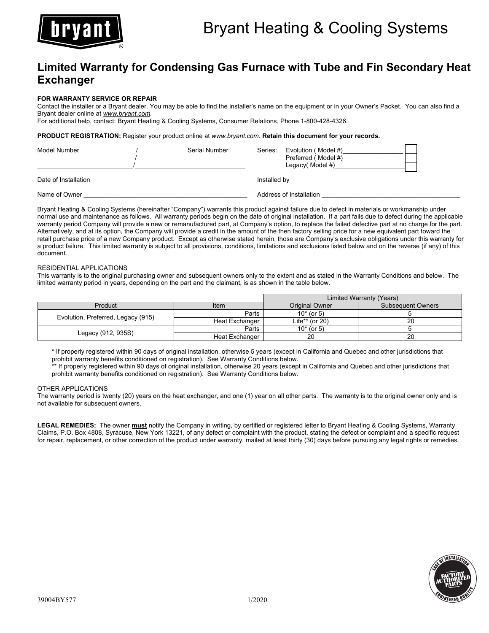

# **Limited Warranty for Condensing Gas Furnace with Tube and Fin Secondary Heat Exchanger**

# **FOR WARRANTY SERVICE OR REPAIR**

Contact the installer or a Bryant dealer. You may be able to find the installer's name on the equipment or in your Owner's Packet. You can also find a Bryant dealer online at *www.bryant.com.*

For additional help, contact: Bryant Heating & Cooling Systems, Consumer Relations, Phone 1-800-428-4326.

**PRODUCT REGISTRATION:** Register your product online at *www.bryant.com.* **Retain this document for your records.**

| Model Number         | Serial Number | Series:      | Evolution (Model #)<br>Preferred (Model #)<br>Legacy(Model $#$ ) |  |
|----------------------|---------------|--------------|------------------------------------------------------------------|--|
| Date of Installation |               | Installed by |                                                                  |  |
| Name of Owner        |               |              | Address of Installation                                          |  |

Bryant Heating & Cooling Systems (hereinafter "Company") warrants this product against failure due to defect in materials or workmanship under normal use and maintenance as follows. All warranty periods begin on the date of original installation. If a part fails due to defect during the applicable warranty period Company will provide a new or remanufactured part, at Company's option, to replace the failed defective part at no charge for the part. Alternatively, and at its option, the Company will provide a credit in the amount of the then factory selling price for a new equivalent part toward the retail purchase price of a new Company product. Except as otherwise stated herein, those are Company's exclusive obligations under this warranty for a product failure. This limited warranty is subject to all provisions, conditions, limitations and exclusions listed below and on the reverse (if any) of this document.

#### RESIDENTIAL APPLICATIONS

This warranty is to the original purchasing owner and subsequent owners only to the extent and as stated in the Warranty Conditions and below. The limited warranty period in years, depending on the part and the claimant, is as shown in the table below.

|                                    |                | Limited Warranty (Years) |                   |  |
|------------------------------------|----------------|--------------------------|-------------------|--|
| Product                            | Item           | <b>Original Owner</b>    | Subsequent Owners |  |
| Evolution, Preferred, Legacy (915) | Parts          | $10*$ (or 5)             |                   |  |
|                                    | Heat Exchanger | Life** (or $20$ )        | 20                |  |
| Legacy (912, 935S)                 | Parts          | $10*$ (or 5)             |                   |  |
|                                    | Heat Exchanger | 20                       | 20                |  |

\* If properly registered within 90 days of original installation, otherwise 5 years (except in California and Quebec and other jurisdictions that prohibit warranty benefits conditioned on registration). See Warranty Conditions below.

\*\* If properly registered within 90 days of original installation, otherwise 20 years (except in California and Quebec and other jurisdictions that prohibit warranty benefits conditioned on registration). See Warranty Conditions below.

#### OTHER APPLICATIONS

The warranty period is twenty (20) years on the heat exchanger, and one (1) year on all other parts. The warranty is to the original owner only and is not available for subsequent owners.

**LEGAL REMEDIES:** The owner **must** notify the Company in writing, by certified or registered letter to Bryant Heating & Cooling Systems, Warranty Claims, P.O. Box 4808, Syracuse, New York 13221, of any defect or complaint with the product, stating the defect or complaint and a specific request for repair, replacement, or other correction of the product under warranty, mailed at least thirty (30) days before pursuing any legal rights or remedies.